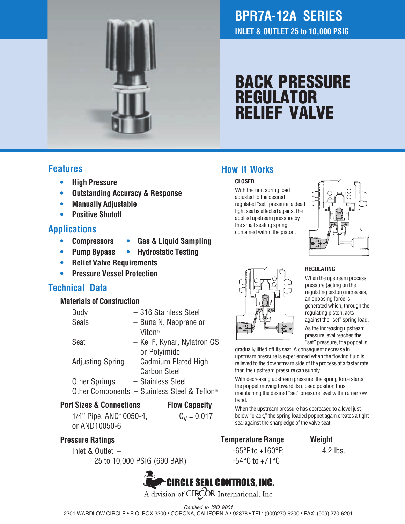

# **BPR7A-12A SERIES INLET & OUTLET 25 to 10,000 PSIG**

# **BACK PRESSURE REGULATOR RELIEF VALVE**

## **Features**

- **• High Pressure**
- **• Outstanding Accuracy & Response**
- **• Manually Adjustable**
- **• Positive Shutoff**

## **Applications**

- **• Compressors • Gas & Liquid Sampling**
- **• Pump Bypass • Hydrostatic Testing**
- **• Relief Valve Requirements**
- **• Pressure Vessel Protection**

# **Technical Data**

#### **Materials of Construction**

| Body                    | - 316 Stainless Steel                                    |
|-------------------------|----------------------------------------------------------|
| <b>Seals</b>            | - Buna N, Neoprene or                                    |
|                         | Viton®                                                   |
| Seat                    | - Kel F, Kynar, Nylatron GS                              |
|                         | or Polyimide                                             |
| <b>Adjusting Spring</b> | - Cadmium Plated High                                    |
|                         | <b>Carbon Steel</b>                                      |
| <b>Other Springs</b>    | - Stainless Steel                                        |
|                         | Other Components - Stainless Steel & Teflon <sup>®</sup> |
|                         |                                                          |

#### **Port Sizes & Connections Flow Capacity**

1/4" Pipe, AND10050-4,  $C_V = 0.017$ or AND10050-6

#### **Pressure Ratings**

Inlet & Outlet – 25 to 10,000 PSIG (690 BAR)



# **How It Works**

#### **CLOSED**

With the unit spring load adjusted to the desired regulated "set" pressure, a dead tight seal is effected against the applied upstream pressure by the small seating spring contained within the piston.



#### **REGULATING**

When the upstream process pressure (acting on the regulating piston) increases, an opposing force is generated which, through the regulating piston, acts against the "set" spring load.

As the increasing upstream pressure level reaches the "set" pressure, the poppet is

gradually lifted off its seat. A consequent decrease in upstream pressure is experienced when the flowing fluid is relieved to the downstream side of the process at a faster rate than the upstream pressure can supply.

With decreasing upstream pressure, the spring force starts the poppet moving toward its closed position thus maintaining the desired "set" pressure level within a narrow band.

When the upstream pressure has decreased to a level just below "crack," the spring loaded poppet again creates a tight seal against the sharp edge of the valve seat.

# **Temperature Range Weight**

 $-65^{\circ}$ F to  $+160^{\circ}$ F: 4.2 lbs. -54°C to +71°C



Certified to ISO 9001

2301 WARDLOW CIRCLE • P.O. BOX 3300 • CORONA, CALIFORNIA • 92878 • TEL: (909)270-6200 • FAX: (909) 270-6201